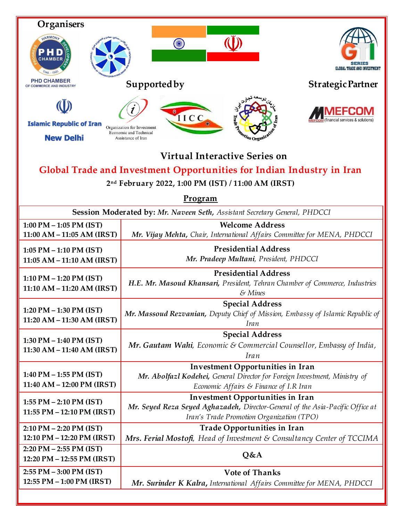| Organisers<br>HARMON<br><b>CHAMBER</b><br>$Estd - 1905$<br><b>PHD CHAMBER</b><br>OF COMMERCE AND INDUSTRY                                                                      | SK<br>Supported by                                                                                                                                              | <b>GLOBAL TRADE AND INVESTMENT</b><br><b>Strategic Partner</b> |
|--------------------------------------------------------------------------------------------------------------------------------------------------------------------------------|-----------------------------------------------------------------------------------------------------------------------------------------------------------------|----------------------------------------------------------------|
| <b>Islamic Republic of Iran</b><br><b>New Delhi</b>                                                                                                                            | IICC<br>Organization for Investment<br>Economic and Technical<br>Assistance of Iran                                                                             |                                                                |
| <b>Virtual Interactive Series on</b><br>Global Trade and Investment Opportunities for Indian Industry in Iran<br>2nd February 2022, 1:00 PM (IST) / 11:00 AM (IRST)<br>Program |                                                                                                                                                                 |                                                                |
| Session Moderated by: Mr. Naveen Seth, Assistant Secretary General, PHDCCI                                                                                                     |                                                                                                                                                                 |                                                                |
| 1:00 PM $-$ 1:05 PM (IST)<br>$11:00 AM - 11:05 AM (IRST)$                                                                                                                      | <b>Welcome Address</b><br>Mr. Vijay Mehta, Chair, International Affairs Committee for MENA, PHDCCI                                                              |                                                                |
| 1:05 PM $-$ 1:10 PM (IST)<br>11:05 AM - 11:10 AM (IRST)                                                                                                                        | <b>Presidential Address</b><br>Mr. Pradeep Multani, President, PHDCCI                                                                                           |                                                                |
| 1:10 PM $-$ 1:20 PM (IST)<br>11:10 AM - 11:20 AM (IRST)                                                                                                                        | <b>Presidential Address</b><br>H.E. Mr. Masoud Khansari, President, Tehran Chamber of Commerce, Industries<br>$&$ Mines                                         |                                                                |
| 1:20 PM $-$ 1:30 PM (IST)<br>11:20 AM - 11:30 AM (IRST)                                                                                                                        | <b>Special Address</b><br>Mr. Massoud Rezvanian, Deputy Chief of Mission, Embassy of Islamic Republic of<br>Iran                                                |                                                                |
| $1:30$ PM $-1:40$ PM (IST)<br>$11:30 AM - 11:40 AM (IRST)$                                                                                                                     | <b>Special Address</b><br>Mr. Gautam Wahi, Economic & Commercial Counsellor, Embassy of India,<br><i>Iran</i>                                                   |                                                                |
| 1:40 PM $-$ 1:55 PM (IST)<br>11:40 AM - 12:00 PM (IRST)                                                                                                                        | Investment Opportunities in Iran<br>Mr. Abolfazl Kodehei, General Director for Foreign Investment, Ministry of<br>Economic Affairs & Finance of I.R Iran        |                                                                |
| 1:55 PM - 2:10 PM (IST)<br>11:55 PM - 12:10 PM (IRST)                                                                                                                          | Investment Opportunities in Iran<br>Mr. Seyed Reza Seyed Aghazadeh, Director-General of the Asia-Pacific Office at<br>Iran's Trade Promotion Organization (TPO) |                                                                |
| 2:10 PM - 2:20 PM (IST)<br>12:10 PM - 12:20 PM (IRST)                                                                                                                          | Trade Opportunities in Iran<br>Mrs. Ferial Mostofi, Head of Investment & Consultancy Center of TCCIMA                                                           |                                                                |
| 2:20 PM - 2:55 PM (IST)<br>12:20 PM - 12:55 PM (IRST)                                                                                                                          | Q&A                                                                                                                                                             |                                                                |
| $2:55$ PM $-3:00$ PM (IST)<br>12:55 PM - 1:00 PM (IRST)                                                                                                                        | <b>Vote of Thanks</b><br>Mr. Surinder K Kalra, International Affairs Committee for MENA, PHDCCI                                                                 |                                                                |
|                                                                                                                                                                                |                                                                                                                                                                 |                                                                |